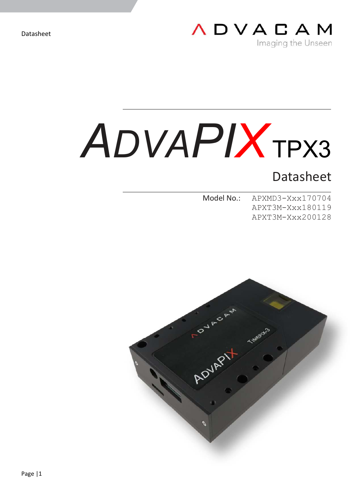

# ADVAPIX TPX3

# Datasheet

Model No.: APXMD3-Xxx170704 APXT3M-Xxx180119 APXT3M-Xxx200128

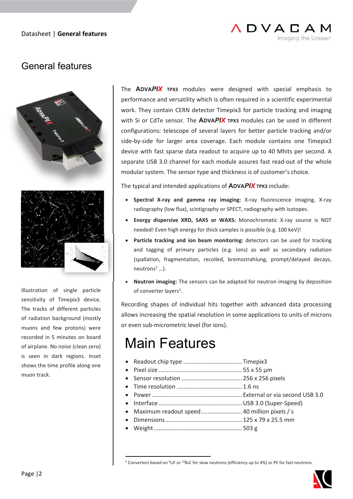

## General features



Illustration of single particle sensitivity of Timepix3 device. The tracks of different particles of radiation background (mostly muons and few protons) were recorded in 5 minutes on board of airplane. No noise (clean zero) is seen in dark regions. Inset shows the time profile along one muon track.

The **ADVA***PIX* **TPX3** modules were designed with special emphasis to performance and versatility which is often required in a scientific experimental work. They contain CERN detector Timepix3 for particle tracking and imaging with Si or CdTe sensor. The **ADVA***PIX* **TPX3** modules can be used in different configurations: telescope of several layers for better particle tracking and/or side-by-side for larger area coverage. Each module contains one Timepix3 device with fast sparse data readout to acquire up to 40 Mhits per second. A separate USB 3.0 channel for each module assures fast read-out of the whole modular system. The sensor type and thickness is of customer's choice.

The typical and intended applications of **ADVA***PIX* **TPX3** include:

- **Spectral X-ray and gamma ray imaging:** X-ray fluorescence imaging, X-ray radiography (low flux), scintigraphy or SPECT, radiography with isotopes.
- **Energy dispersive XRD, SAXS or WAXS:** Monochromatic X-ray source is NOT needed! Even high energy for thick samples is possible (e.g. 100 keV)!
- **•** Particle tracking and ion beam monitoring: detectors can be used for tracking and tagging of primary particles (e.g. ions) as well as secondary radiation (spallation, fragmentation, recoiled, bremsstrahlung, prompt/delayed decays, neutrons $1$  ...).
- **Neutron imaging:** The sensors can be adapted for neutron imaging by deposition of converter layers<sup>1</sup>.

Recording shapes of individual hits together with advanced data processing allows increasing the spatial resolution in some applications to units of microns or even sub-micrometric level (for ions).

# Main Features

- Readout chip type .................................... Timepix3
- Pixel size ................................................... 55 x 55 μm
- Sensor resolution ..................................... 256 x 256 pixels
- Time resolution ........................................ 1.6 ns
- Power ....................................................... External or via second USB 3.0
- Interface ................................................... USB 3.0 (Super-Speed)
- Maximum readout speed ......................... 40 million pixels / s
- Dimensions ............................................... 125 x 79 x 25.5 mm
- Weight ...................................................... 503 g

<sup>&</sup>lt;sup>1</sup> Convertors based on <sup>6</sup>LiF or <sup>10</sup>B<sub>4</sub>C for slow neutrons (efficiency up to 4%) or PE for fast neutrons.

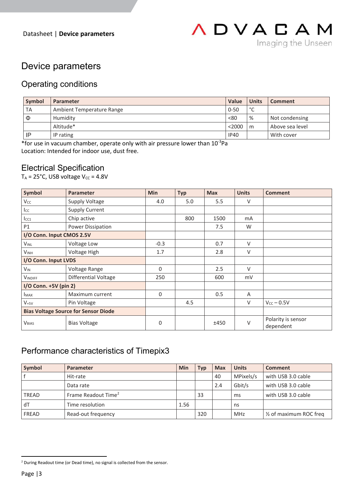

# Device parameters

#### Operating conditions

| Symbol    | Parameter                 | Value       | <b>Units</b> | <b>Comment</b>  |
|-----------|---------------------------|-------------|--------------|-----------------|
| <b>TA</b> | Ambient Temperature Range | $0 - 50$    | °С           |                 |
| Φ         | Humidity                  | <80         | %            | Not condensing  |
|           | Altitude*                 | $<$ 2000    | m            | Above sea level |
| IP        | IP rating                 | <b>IP40</b> |              | With cover      |

\*for use in vacuum chamber, operate only with air pressure lower than 10-3Pa Location: Intended for indoor use, dust free.

#### Electrical Specification

 $T_A = 25^{\circ}$ C, USB voltage V<sub>cc</sub> = 4.8V

| Symbol                                      | Parameter             | <b>Min</b> | <b>Typ</b> | <b>Max</b> | <b>Units</b> | <b>Comment</b>     |
|---------------------------------------------|-----------------------|------------|------------|------------|--------------|--------------------|
| $V_{CC}$                                    | Supply Voltage        | 4.0        | 5.0        | 5.5        | $\vee$       |                    |
| $I_{\text{CC}}$                             | <b>Supply Current</b> |            |            |            |              |                    |
| $I_{CC1}$                                   | Chip active           |            | 800        | 1500       | mA           |                    |
| <b>P1</b>                                   | Power Dissipation     |            |            | 7.5        | W            |                    |
| I/O Conn. Input CMOS 2.5V                   |                       |            |            |            |              |                    |
| <b>VINL</b>                                 | Voltage Low           | $-0.3$     |            | 0.7        | $\vee$       |                    |
| <b>VINH</b>                                 | Voltage High          | 1.7        |            | 2.8        | $\vee$       |                    |
| I/O Conn. Input LVDS                        |                       |            |            |            |              |                    |
| $V_{IN}$                                    | Voltage Range         | $\Omega$   |            | 2.5        | $\vee$       |                    |
| <b>VINDIFF</b>                              | Differential Voltage  | 250        |            | 600        | mV           |                    |
| I/O Conn. +5V (pin 2)                       |                       |            |            |            |              |                    |
| $I_{MAX}$                                   | Maximum current       | $\Omega$   |            | 0.5        | A            |                    |
| $V_{+5V}$                                   | Pin Voltage           |            | 4.5        |            | $\vee$       | $V_{CC}$ - 0.5V    |
| <b>Bias Voltage Source for Sensor Diode</b> |                       |            |            |            |              |                    |
| <b>V</b> <sub>BIAS</sub>                    | <b>Bias Voltage</b>   | 0          |            | ±450       | $\vee$       | Polarity is sensor |
|                                             |                       |            |            |            |              | dependent          |

### Performance characteristics of Timepix3

| Symbol       | Parameter                       | Min  | <b>Typ</b> | <b>Max</b> | <b>Units</b> | <b>Comment</b>                    |
|--------------|---------------------------------|------|------------|------------|--------------|-----------------------------------|
|              | Hit-rate                        |      |            | 40         | MPixels/s    | with USB 3.0 cable                |
|              | Data rate                       |      |            | 2.4        | Gbit/s       | with USB 3.0 cable                |
| <b>TREAD</b> | Frame Readout Time <sup>2</sup> |      | 33         |            | ms           | with USB 3.0 cable                |
| dT           | Time resolution                 | 1.56 |            |            | ns           |                                   |
| <b>FREAD</b> | Read-out frequency              |      | 320        |            | MHz          | $\frac{1}{2}$ of maximum ROC freq |

<sup>&</sup>lt;sup>2</sup> During Readout time (or Dead time), no signal is collected from the sensor.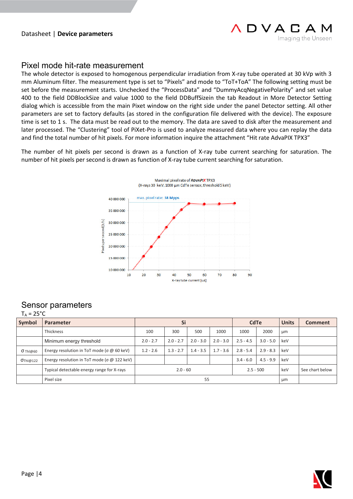

#### Pixel mode hit-rate measurement

The whole detector is exposed to homogenous perpendicular irradiation from X-ray tube operated at 30 kVp with 3 mm Aluminum filter. The measurement type is set to "Pixels" and mode to "ToT+ToA" The following setting must be set before the measurement starts. Unchecked the "ProcessData" and "DummyAcqNegativePolarity" and set value 400 to the field DDBlockSize and value 1000 to the field DDBuffSizein the tab Readout in More Detector Setting dialog which is accessible from the main Pixet window on the right side under the panel Detector setting. All other parameters are set to factory defaults (as stored in the configuration file delivered with the device). The exposure time is set to 1 s. The data must be read out to the memory. The data are saved to disk after the measurement and later processed. The "Clustering" tool of PiXet-Pro is used to analyze measured data where you can replay the data and find the total number of hit pixels. For more information inquire the attachment "Hit rate AdvaPIX TPX3"

The number of hit pixels per second is drawn as a function of X-ray tube current searching for saturation. The number of hit pixels per second is drawn as function of X-ray tube current searching for saturation.



#### Sensor parameters

 $T$ 

| $I_A - ZJ$ C    |                                                           |             |             |             |             |             |              |                 |  |
|-----------------|-----------------------------------------------------------|-------------|-------------|-------------|-------------|-------------|--------------|-----------------|--|
| Symbol          | <b>Parameter</b>                                          | Si          |             |             | <b>CdTe</b> |             | <b>Units</b> | <b>Comment</b>  |  |
|                 | Thickness                                                 | 100         | 300         | 500         | 1000        | 1000        | 2000         | μm              |  |
|                 | Minimum energy threshold                                  | $2.0 - 2.7$ | $2.0 - 2.7$ | $2.0 - 3.0$ | $2.0 - 3.0$ | $2.5 - 4.5$ | $3.0 - 5.0$  | keV             |  |
| $\sigma$ Thi@60 | Energy resolution in ToT mode ( $\sigma$ $\omega$ 60 keV) | $1.2 - 2.6$ | $1.3 - 2.7$ | $1.4 - 3.5$ | $1.7 - 3.6$ | $2.8 - 5.4$ | $2.9 - 8.3$  | keV             |  |
| OThI@122        | Energy resolution in ToT mode ( $\sigma$ @ 122 keV)       |             |             |             |             | $3.4 - 6.0$ | $4.5 - 9.9$  | keV             |  |
|                 | Typical detectable energy range for X-rays                | $2.0 - 60$  |             |             | $2.5 - 500$ |             | keV          | See chart below |  |
|                 | Pixel size                                                | 55          |             |             |             | μm          |              |                 |  |

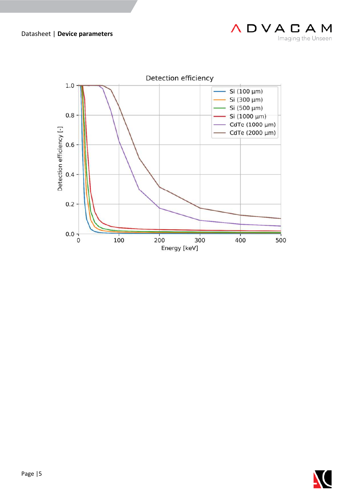



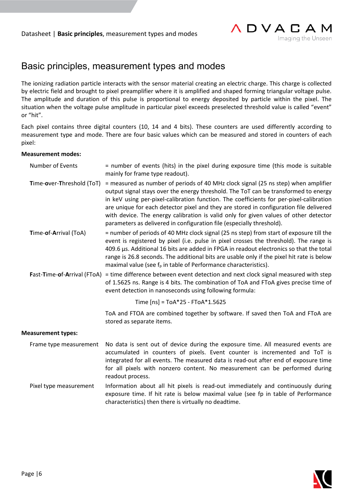

# Basic principles, measurement types and modes

The ionizing radiation particle interacts with the sensor material creating an electric charge. This charge is collected by electric field and brought to pixel preamplifier where it is amplified and shaped forming triangular voltage pulse. The amplitude and duration of this pulse is proportional to energy deposited by particle within the pixel. The situation when the voltage pulse amplitude in particular pixel exceeds preselected threshold value is called "event" or "hit".

Each pixel contains three digital counters (10, 14 and 4 bits). These counters are used differently according to measurement type and mode. There are four basic values which can be measured and stored in counters of each pixel:

#### **Measurement modes:**

| <b>Number of Events</b>   | = number of events (hits) in the pixel during exposure time (this mode is suitable<br>mainly for frame type readout).                                                                                                                                                                                                                                                                                                                                                                                                           |
|---------------------------|---------------------------------------------------------------------------------------------------------------------------------------------------------------------------------------------------------------------------------------------------------------------------------------------------------------------------------------------------------------------------------------------------------------------------------------------------------------------------------------------------------------------------------|
| Time-over-Threshold (ToT) | = measured as number of periods of 40 MHz clock signal (25 ns step) when amplifier<br>output signal stays over the energy threshold. The ToT can be transformed to energy<br>in keV using per-pixel-calibration function. The coefficients for per-pixel-calibration<br>are unique for each detector pixel and they are stored in configuration file delivered<br>with device. The energy calibration is valid only for given values of other detector<br>parameters as delivered in configuration file (especially threshold). |
| Time-of-Arrival (ToA)     | = number of periods of 40 MHz clock signal (25 ns step) from start of exposure till the<br>event is registered by pixel (i.e. pulse in pixel crosses the threshold). The range is<br>409.6 µs. Additional 16 bits are added in FPGA in readout electronics so that the total<br>range is 26.8 seconds. The additional bits are usable only if the pixel hit rate is below<br>maximal value (see $f_p$ in table of Performance characteristics).                                                                                 |
|                           | Fast-Time-of-Arrival (FToA) = time difference between event detection and next clock signal measured with step<br>of 1.5625 ns. Range is 4 bits. The combination of ToA and FToA gives precise time of<br>event detection in nanoseconds using following formula:                                                                                                                                                                                                                                                               |
|                           | Time $[ns] = ToA*25 - FToA*1.5625$                                                                                                                                                                                                                                                                                                                                                                                                                                                                                              |
|                           | ToA and FTOA are combined together by software. If saved then ToA and FToA are<br>stored as separate items.                                                                                                                                                                                                                                                                                                                                                                                                                     |
| <b>Measurement types:</b> |                                                                                                                                                                                                                                                                                                                                                                                                                                                                                                                                 |
| Frame type measurement    | No data is sent out of device during the exposure time. All measured events are<br>accumulated in counters of pixels. Event counter is incremented and ToT is<br>integrated for all events. The measured data is read-out after end of exposure time<br>for all pixels with nonzero content. No measurement can be performed during                                                                                                                                                                                             |

Pixel type measurement Information about all hit pixels is read-out immediately and continuously during exposure time. If hit rate is below maximal value (see fp in table of Performance characteristics) then there is virtually no deadtime.

readout process.

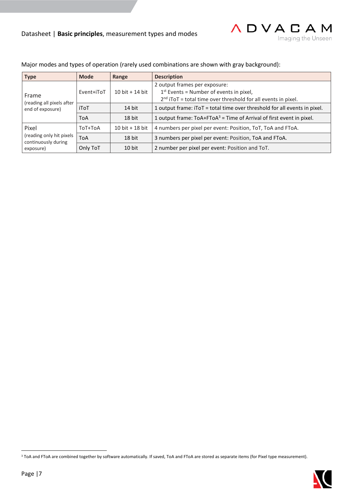#### Datasheet | **Basic principles**, measurement types and modes



Major modes and types of operation (rarely used combinations are shown with gray background):

| <b>Type</b>                                     | <b>Mode</b> | Range             | <b>Description</b>                                                                                                                            |  |  |
|-------------------------------------------------|-------------|-------------------|-----------------------------------------------------------------------------------------------------------------------------------------------|--|--|
| Frame                                           | Event+iToT  | $10 bit + 14 bit$ | 2 output frames per exposure:<br>$1st$ Events = Number of events in pixel,<br>$2nd$ iToT = total time over threshold for all events in pixel. |  |  |
| (reading all pixels after<br>end of exposure)   | iToT        | 14 bit            | 1 output frame: iToT = total time over threshold for all events in pixel.                                                                     |  |  |
|                                                 | <b>ToA</b>  | 18 bit            | 1 output frame: $ToA+FToA^3 = Time$ of Arrival of first event in pixel.                                                                       |  |  |
| Pixel                                           | ToT+ToA     | $10 bit + 18 bit$ | 4 numbers per pixel per event: Position, ToT, ToA and FToA.                                                                                   |  |  |
| (reading only hit pixels<br>continuously during | <b>ToA</b>  | 18 bit            | 3 numbers per pixel per event: Position, ToA and FToA.                                                                                        |  |  |
| exposure)                                       | Only ToT    | 10 bit            | 2 number per pixel per event: Position and ToT.                                                                                               |  |  |

<sup>&</sup>lt;sup>3</sup> ToA and FToA are combined together by software automatically. If saved, ToA and FToA are stored as separate items (for Pixel type measurement).

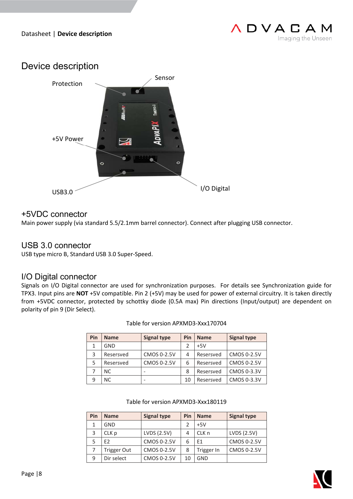

# Device description



#### +5VDC connector

Main power supply (via standard 5.5/2.1mm barrel connector). Connect after plugging USB connector.

#### USB 3.0 connector

USB type micro B, Standard USB 3.0 Super-Speed.

#### I/O Digital connector

Signals on I/O Digital connector are used for synchronization purposes. For details see Synchronization guide for TPX3. Input pins are **NOT** +5V compatible. Pin 2 (+5V) may be used for power of external circuitry. It is taken directly from +5VDC connector, protected by schottky diode (0.5A max) Pin directions (Input/output) are dependent on polarity of pin 9 (Dir Select).

| <b>Pin</b> | <b>Name</b> | <b>Signal type</b> | Pin | <b>Name</b> | <b>Signal type</b> |
|------------|-------------|--------------------|-----|-------------|--------------------|
|            | GND         |                    |     | $+5V$       |                    |
| 3          | Resersved   | CMOS 0-2.5V        | 4   | Resersved   | CMOS 0-2.5V        |
| 5          | Resersved   | <b>CMOS 0-2.5V</b> | 6   | Resersved   | CMOS 0-2.5V        |
|            | NC.         | -                  | 8   | Resersved   | CMOS 0-3.3V        |
| ٩          | NC.         | -                  | 10  | Resersved   | CMOS 0-3.3V        |

#### Table for version APXMD3-Xxx170704

#### Table for version APXMD3-Xxx180119

| Pin | <b>Name</b>    | <b>Signal type</b> | Pin | <b>Name</b> | <b>Signal type</b> |
|-----|----------------|--------------------|-----|-------------|--------------------|
|     | GND            |                    |     | $+5V$       |                    |
| 3   | CLK p          | LVDS (2.5V)        | 4   | CLK n       | LVDS (2.5V)        |
| 5   | F <sub>2</sub> | CMOS 0-2.5V        | 6   | F1          | CMOS 0-2.5V        |
|     | Trigger Out    | CMOS 0-2.5V        | 8   | Trigger In  | CMOS 0-2.5V        |
| 9   | Dir select     | CMOS 0-2.5V        | 10  | GND         |                    |

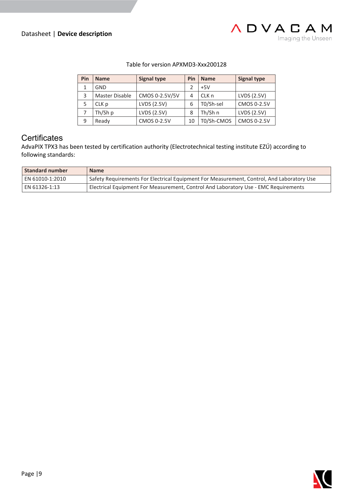#### Table for version APXMD3-Xxx200128

| Pin | <b>Name</b>    | <b>Signal type</b> | Pin           | <b>Name</b> | <b>Signal type</b> |
|-----|----------------|--------------------|---------------|-------------|--------------------|
|     | GND            |                    | $\mathcal{P}$ | $+5V$       |                    |
| 3   | Master Disable | CMOS 0-2.5V/5V     | 4             | CLK n       | LVDS (2.5V)        |
|     | CLK p          | LVDS (2.5V)        | 6             | T0/Sh-sel   | CMOS 0-2.5V        |
|     | $Th/Sh$ p      | LVDS (2.5V)        | 8             | Th/Sh n     | LVDS (2.5V)        |
| 9   | Ready          | CMOS 0-2.5V        | 10            | T0/Sh-CMOS  | CMOS 0-2.5V        |

#### **Certificates**

AdvaPIX TPX3 has been tested by certification authority (Electrotechnical testing institute EZÚ) according to following standards:

| <b>Standard number</b> | <b>Name</b>                                                                               |
|------------------------|-------------------------------------------------------------------------------------------|
| EN 61010-1:2010        | Safety Requirements For Electrical Equipment For Measurement, Control, And Laboratory Use |
| EN 61326-1:13          | Electrical Equipment For Measurement, Control And Laboratory Use - EMC Requirements       |

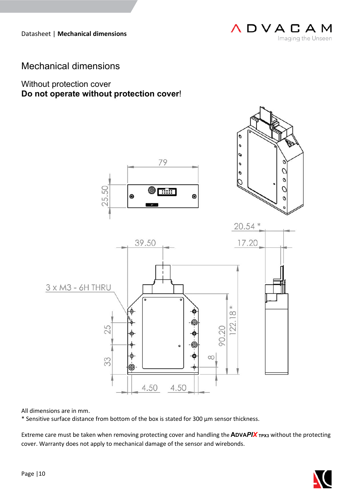

Mechanical dimensions

#### Without protection cover **Do not operate without protection cover**!



All dimensions are in mm.

\* Sensitive surface distance from bottom of the box is stated for 300 µm sensor thickness.

Extreme care must be taken when removing protecting cover and handling the **ADVA***PIX* **TPX3** without the protecting cover. Warranty does not apply to mechanical damage of the sensor and wirebonds.

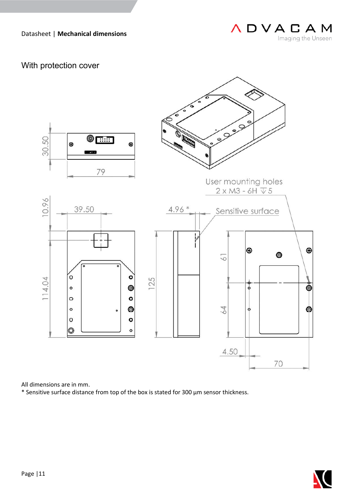**ADVACAM** Imaging the Unseen

#### With protection cover



All dimensions are in mm.

\* Sensitive surface distance from top of the box is stated for 300 µm sensor thickness.

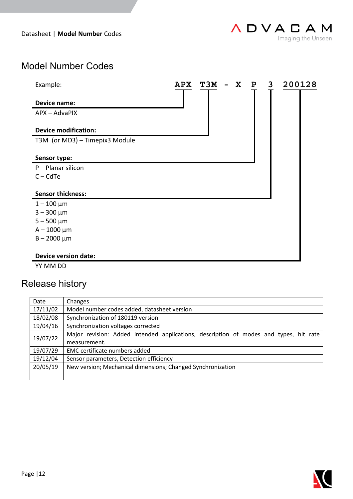Datasheet | **Model Number** Codes



# Model Number Codes

| Example:                       | APX | T3M | X | P | $\overline{\mathbf{3}}$ | 200128 |
|--------------------------------|-----|-----|---|---|-------------------------|--------|
| <b>Device name:</b>            |     |     |   |   |                         |        |
| APX - AdvaPIX                  |     |     |   |   |                         |        |
| <b>Device modification:</b>    |     |     |   |   |                         |        |
| T3M (or MD3) - Timepix3 Module |     |     |   |   |                         |        |
| Sensor type:                   |     |     |   |   |                         |        |
| P - Planar silicon             |     |     |   |   |                         |        |
| $C - C dTe$                    |     |     |   |   |                         |        |
| <b>Sensor thickness:</b>       |     |     |   |   |                         |        |
| $1 - 100 \mu m$                |     |     |   |   |                         |        |
| $3 - 300 \mu m$                |     |     |   |   |                         |        |
| $5 - 500 \mu m$                |     |     |   |   |                         |        |
| $A - 1000 \mu m$               |     |     |   |   |                         |        |
| $B - 2000 \mu m$               |     |     |   |   |                         |        |
| <b>Device version date:</b>    |     |     |   |   |                         |        |

YY MM DD

# Release history

| Date         | Changes                                                                               |  |
|--------------|---------------------------------------------------------------------------------------|--|
| 17/11/02     | Model number codes added, datasheet version                                           |  |
| 18/02/08     | Synchronization of 180119 version                                                     |  |
| 19/04/16     | Synchronization voltages corrected                                                    |  |
| 19/07/22     | Major revision: Added intended applications, description of modes and types, hit rate |  |
| measurement. |                                                                                       |  |
| 19/07/29     | EMC certificate numbers added                                                         |  |
| 19/12/04     | Sensor parameters, Detection efficiency                                               |  |
| 20/05/19     | New version; Mechanical dimensions; Changed Synchronization                           |  |
|              |                                                                                       |  |